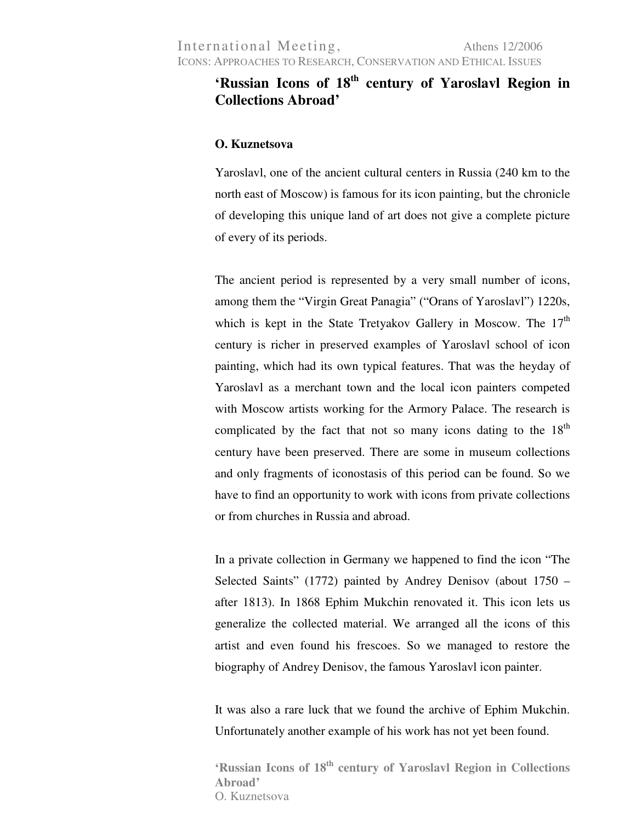## **'Russian Icons of 18th century of Yaroslavl Region in Collections Abroad'**

## **O. Kuznetsova**

Yaroslavl, one of the ancient cultural centers in Russia (240 km to the north east of Moscow) is famous for its icon painting, but the chronicle of developing this unique land of art does not give a complete picture of every of its periods.

The ancient period is represented by a very small number of icons, among them the "Virgin Great Panagia" ("Orans of Yaroslavl") 1220s, which is kept in the State Tretyakov Gallery in Moscow. The  $17<sup>th</sup>$ century is richer in preserved examples of Yaroslavl school of icon painting, which had its own typical features. That was the heyday of Yaroslavl as a merchant town and the local icon painters competed with Moscow artists working for the Armory Palace. The research is complicated by the fact that not so many icons dating to the  $18<sup>th</sup>$ century have been preserved. There are some in museum collections and only fragments of iconostasis of this period can be found. So we have to find an opportunity to work with icons from private collections or from churches in Russia and abroad.

In a private collection in Germany we happened to find the icon "The Selected Saints" (1772) painted by Andrey Denisov (about 1750 – after 1813). In 1868 Ephim Mukchin renovated it. This icon lets us generalize the collected material. We arranged all the icons of this artist and even found his frescoes. So we managed to restore the biography of Andrey Denisov, the famous Yaroslavl icon painter.

It was also a rare luck that we found the archive of Ephim Mukchin. Unfortunately another example of his work has not yet been found.

**'Russian Icons of 18th century of Yaroslavl Region in Collections Abroad'**  O. Kuznetsova